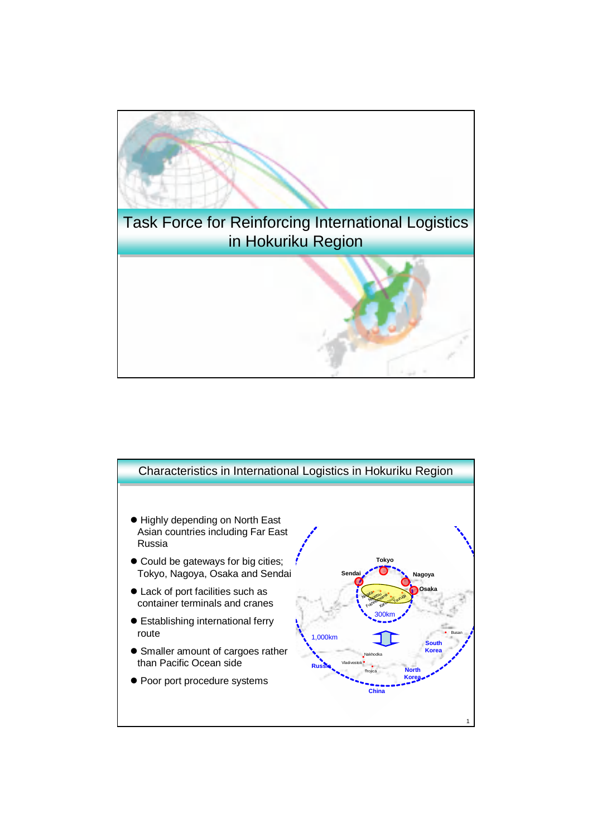

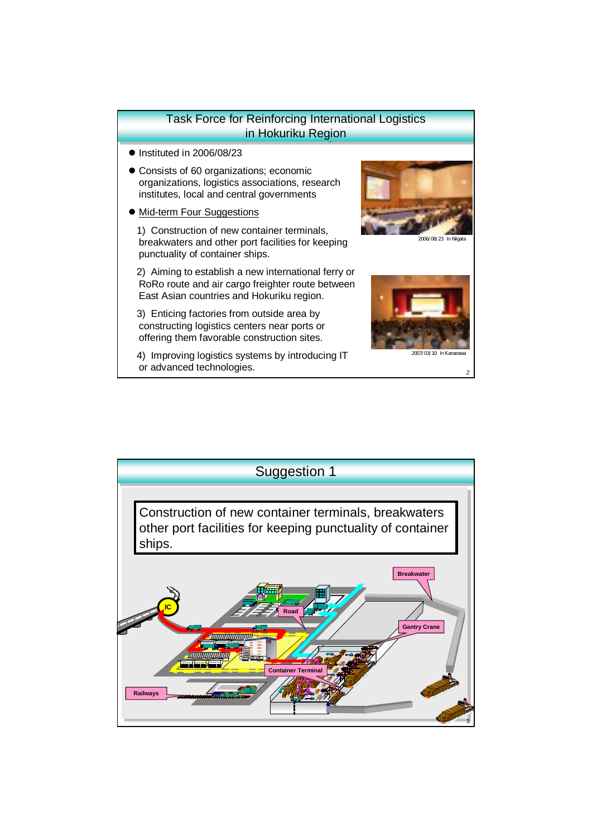## Task Force for Reinforcing International Logistics Task Force for Reinforcing International Logistics in Hokuriku Region

- $\bullet$  Instituted in 2006/08/23
- Consists of 60 organizations; economic organizations, logistics associations, research institutes, local and central governments
- Mid-term Four Suggestions

1) Construction of new container terminals, breakwaters and other port facilities for keeping punctuality of container ships.

2) Aiming to establish a new international ferry or RoRo route and air cargo freighter route between East Asian countries and Hokuriku region.

3) Enticing factories from outside area by constructing logistics centers near ports or offering them favorable construction sites.

4) Improving logistics systems by introducing IT or advanced technologies. <sup>2</sup>



 $\alpha$ 



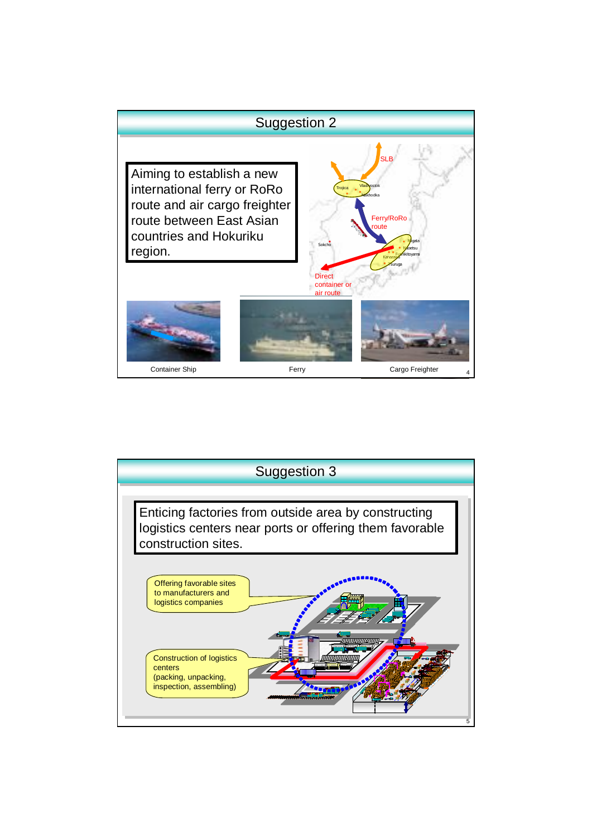